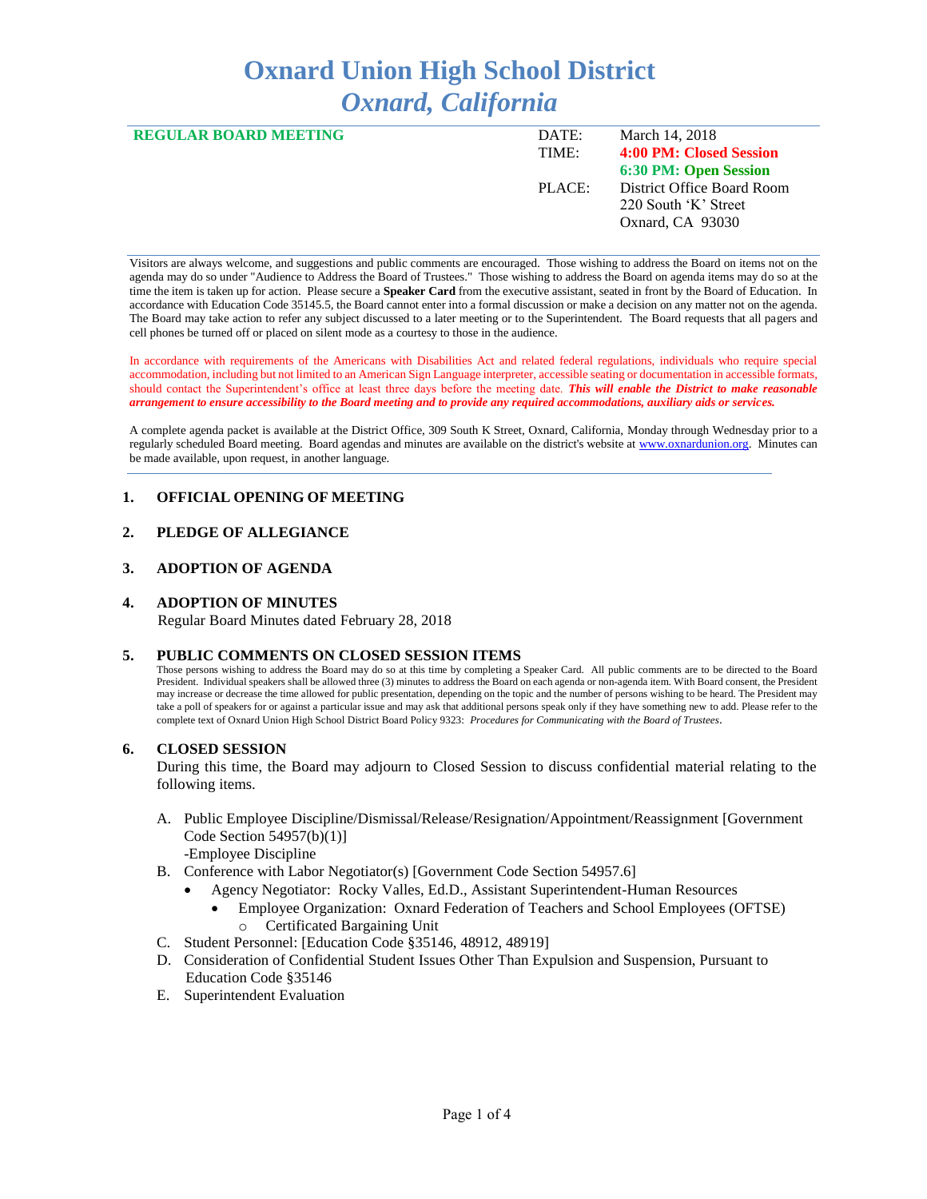# **Oxnard Union High School District** *Oxnard, California*

| <b>REGULAR BOARD MEETING</b> | DATE:  | March 14, 2018             |
|------------------------------|--------|----------------------------|
|                              | TIME:  | 4:00 PM: Closed Session    |
|                              |        | 6:30 PM: Open Session      |
|                              | PLACE: | District Office Board Room |
|                              |        | 220 South 'K' Street       |
|                              |        | Oxnard, CA 93030           |
|                              |        |                            |

Visitors are always welcome, and suggestions and public comments are encouraged. Those wishing to address the Board on items not on the agenda may do so under "Audience to Address the Board of Trustees." Those wishing to address the Board on agenda items may do so at the time the item is taken up for action. Please secure a **Speaker Card** from the executive assistant, seated in front by the Board of Education. In accordance with Education Code 35145.5, the Board cannot enter into a formal discussion or make a decision on any matter not on the agenda. The Board may take action to refer any subject discussed to a later meeting or to the Superintendent. The Board requests that all pagers and cell phones be turned off or placed on silent mode as a courtesy to those in the audience.

In accordance with requirements of the Americans with Disabilities Act and related federal regulations, individuals who require special accommodation, including but not limited to an American Sign Language interpreter, accessible seating or documentation in accessible formats, should contact the Superintendent's office at least three days before the meeting date. *This will enable the District to make reasonable arrangement to ensure accessibility to the Board meeting and to provide any required accommodations, auxiliary aids or services.* 

A complete agenda packet is available at the District Office, 309 South K Street, Oxnard, California, Monday through Wednesday prior to a regularly scheduled Board meeting. Board agendas and minutes are available on the district's website a[t www.ox](http://www.o/)nardunion.org.Minutes can be made available, upon request, in another language.

## **1. OFFICIAL OPENING OF MEETING**

# **2. PLEDGE OF ALLEGIANCE**

#### **3. ADOPTION OF AGENDA**

#### **4. ADOPTION OF MINUTES**

Regular Board Minutes dated February 28, 2018

#### **5. PUBLIC COMMENTS ON CLOSED SESSION ITEMS**

Those persons wishing to address the Board may do so at this time by completing a Speaker Card. All public comments are to be directed to the Board President. Individual speakers shall be allowed three (3) minutes to address the Board on each agenda or non-agenda item. With Board consent, the President may increase or decrease the time allowed for public presentation, depending on the topic and the number of persons wishing to be heard. The President may take a poll of speakers for or against a particular issue and may ask that additional persons speak only if they have something new to add. Please refer to the complete text of Oxnard Union High School District Board Policy 9323: *Procedures for Communicating with the Board of Trustees*.

#### **6. CLOSED SESSION**

During this time, the Board may adjourn to Closed Session to discuss confidential material relating to the following items.

- A. Public Employee Discipline/Dismissal/Release/Resignation/Appointment/Reassignment [Government Code Section 54957(b)(1)] -Employee Discipline
- B. Conference with Labor Negotiator(s) [Government Code Section 54957.6]
	- Agency Negotiator: Rocky Valles, Ed.D., Assistant Superintendent-Human Resources
		- Employee Organization: Oxnard Federation of Teachers and School Employees (OFTSE) Certificated Bargaining Unit
- C. Student Personnel: [Education Code §35146, 48912, 48919]
- D. Consideration of Confidential Student Issues Other Than Expulsion and Suspension, Pursuant to Education Code §35146
- E. Superintendent Evaluation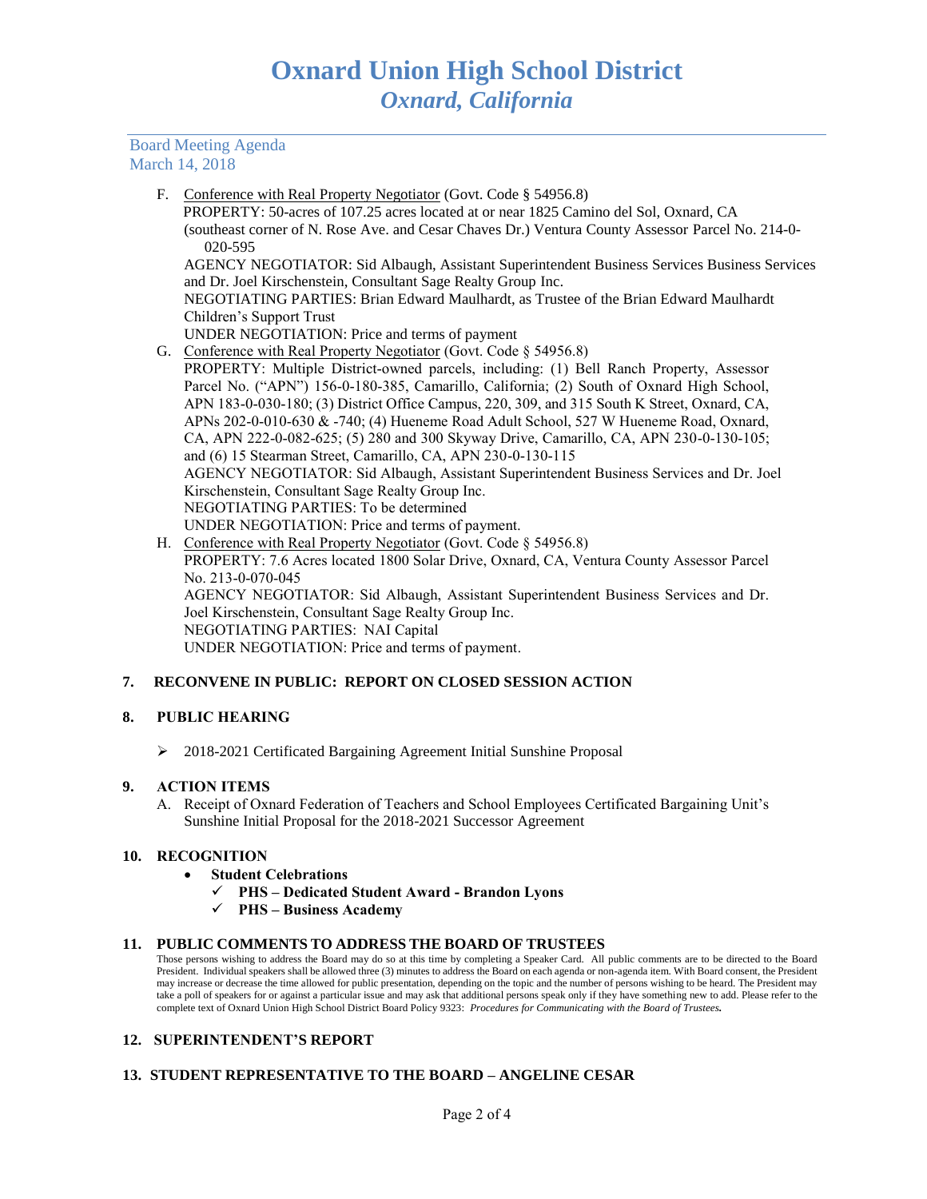## Board Meeting Agenda March 14, 2018

F. Conference with Real Property Negotiator (Govt. Code § 54956.8)

 PROPERTY: 50-acres of 107.25 acres located at or near 1825 Camino del Sol, Oxnard, CA (southeast corner of N. Rose Ave. and Cesar Chaves Dr.) Ventura County Assessor Parcel No. 214-0- 020-595

AGENCY NEGOTIATOR: Sid Albaugh, Assistant Superintendent Business Services Business Services and Dr. Joel Kirschenstein, Consultant Sage Realty Group Inc.

NEGOTIATING PARTIES: Brian Edward Maulhardt, as Trustee of the Brian Edward Maulhardt Children's Support Trust

- UNDER NEGOTIATION: Price and terms of payment
- G. Conference with Real Property Negotiator (Govt. Code § 54956.8)

PROPERTY: Multiple District-owned parcels, including: (1) Bell Ranch Property, Assessor Parcel No. ("APN") 156-0-180-385, Camarillo, California; (2) South of Oxnard High School, APN 183-0-030-180; (3) District Office Campus, 220, 309, and 315 South K Street, Oxnard, CA, APNs 202-0-010-630 & -740; (4) Hueneme Road Adult School, 527 W Hueneme Road, Oxnard, CA, APN 222-0-082-625; (5) 280 and 300 Skyway Drive, Camarillo, CA, APN 230-0-130-105; and (6) 15 Stearman Street, Camarillo, CA, APN 230-0-130-115 AGENCY NEGOTIATOR: Sid Albaugh, Assistant Superintendent Business Services and Dr. Joel Kirschenstein, Consultant Sage Realty Group Inc. NEGOTIATING PARTIES: To be determined UNDER NEGOTIATION: Price and terms of payment.

H. Conference with Real Property Negotiator (Govt. Code § 54956.8) PROPERTY: 7.6 Acres located 1800 Solar Drive, Oxnard, CA, Ventura County Assessor Parcel No. 213-0-070-045 AGENCY NEGOTIATOR: Sid Albaugh, Assistant Superintendent Business Services and Dr. Joel Kirschenstein, Consultant Sage Realty Group Inc. NEGOTIATING PARTIES: NAI Capital UNDER NEGOTIATION: Price and terms of payment.

# **7. RECONVENE IN PUBLIC: REPORT ON CLOSED SESSION ACTION**

# **8. PUBLIC HEARING**

➢ 2018-2021 Certificated Bargaining Agreement Initial Sunshine Proposal

# **9. ACTION ITEMS**

A. Receipt of Oxnard Federation of Teachers and School Employees Certificated Bargaining Unit's Sunshine Initial Proposal for the 2018-2021 Successor Agreement

## **10. RECOGNITION**

- **Student Celebrations** 
	- ✓ **PHS – Dedicated Student Award - Brandon Lyons**
	- ✓ **PHS – Business Academy**

## **11. PUBLIC COMMENTS TO ADDRESS THE BOARD OF TRUSTEES**

Those persons wishing to address the Board may do so at this time by completing a Speaker Card. All public comments are to be directed to the Board President. Individual speakers shall be allowed three (3) minutes to address the Board on each agenda or non-agenda item. With Board consent, the President may increase or decrease the time allowed for public presentation, depending on the topic and the number of persons wishing to be heard. The President may take a poll of speakers for or against a particular issue and may ask that additional persons speak only if they have something new to add. Please refer to the complete text of Oxnard Union High School District Board Policy 9323: *Procedures for Communicating with the Board of Trustees.*

# **12. SUPERINTENDENT'S REPORT**

# **13. STUDENT REPRESENTATIVE TO THE BOARD – ANGELINE CESAR**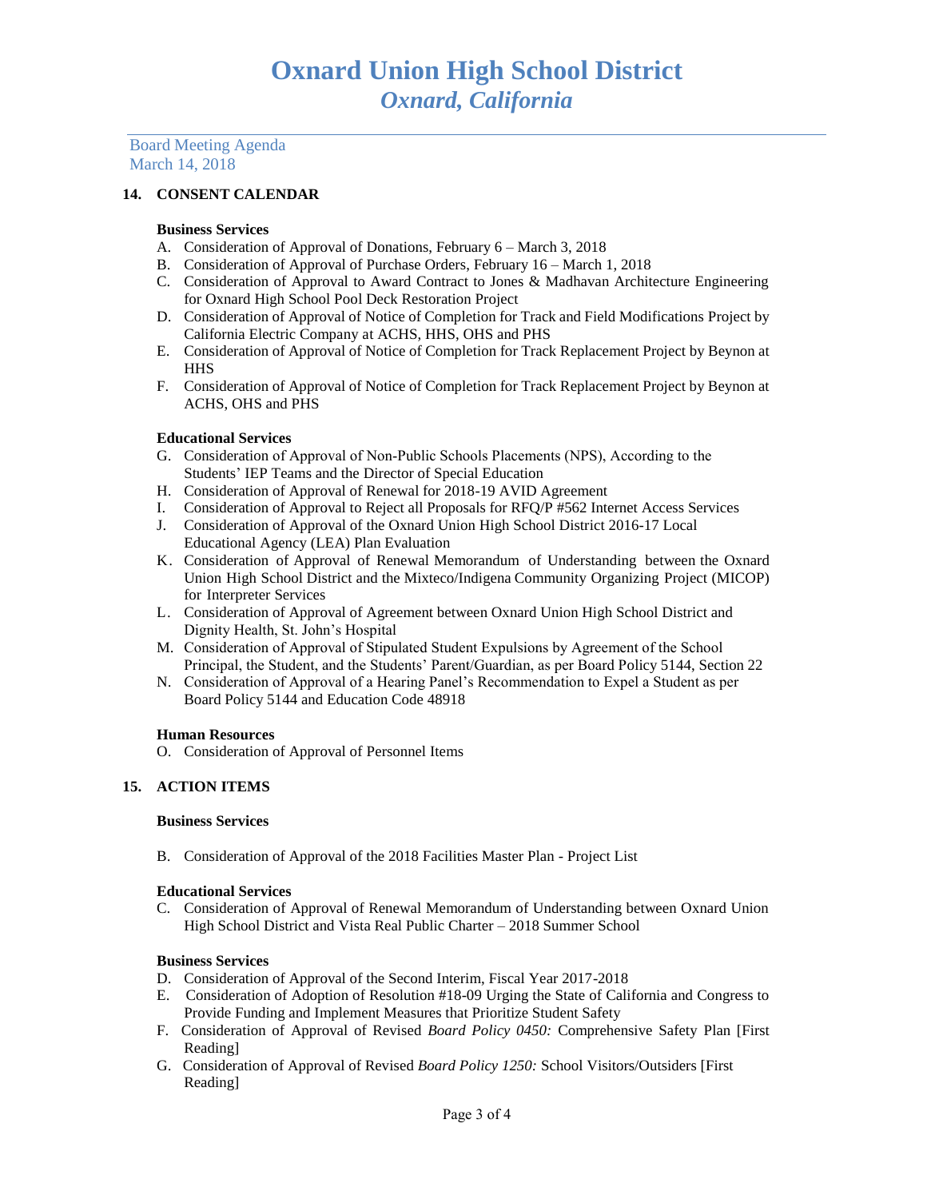Board Meeting Agenda March 14, 2018

## **14. CONSENT CALENDAR**

#### **Business Services**

- A. Consideration of Approval of Donations, February 6 March 3, 2018
- B. Consideration of Approval of Purchase Orders, February 16 March 1, 2018
- C. Consideration of Approval to Award Contract to Jones & Madhavan Architecture Engineering for Oxnard High School Pool Deck Restoration Project
- D. Consideration of Approval of Notice of Completion for Track and Field Modifications Project by California Electric Company at ACHS, HHS, OHS and PHS
- E. Consideration of Approval of Notice of Completion for Track Replacement Project by Beynon at **HHS**
- F. Consideration of Approval of Notice of Completion for Track Replacement Project by Beynon at ACHS, OHS and PHS

#### **Educational Services**

- G. Consideration of Approval of Non-Public Schools Placements (NPS), According to the Students' IEP Teams and the Director of Special Education
- H. Consideration of Approval of Renewal for 2018-19 AVID Agreement
- I. Consideration of Approval to Reject all Proposals for RFQ/P #562 Internet Access Services
- J. Consideration of Approval of the Oxnard Union High School District 2016-17 Local Educational Agency (LEA) Plan Evaluation
- K. Consideration of Approval of Renewal Memorandum of Understanding between the Oxnard Union High School District and the Mixteco/Indigena Community Organizing Project (MICOP) for Interpreter Services
- L. Consideration of Approval of Agreement between Oxnard Union High School District and Dignity Health, St. John's Hospital
- M. Consideration of Approval of Stipulated Student Expulsions by Agreement of the School Principal, the Student, and the Students' Parent/Guardian, as per Board Policy 5144, Section 22
- N. Consideration of Approval of a Hearing Panel's Recommendation to Expel a Student as per Board Policy 5144 and Education Code 48918

#### **Human Resources**

O. Consideration of Approval of Personnel Items

## **15. ACTION ITEMS**

#### **Business Services**

B. Consideration of Approval of the 2018 Facilities Master Plan - Project List

#### **Educational Services**

C. Consideration of Approval of Renewal Memorandum of Understanding between Oxnard Union High School District and Vista Real Public Charter – 2018 Summer School

#### **Business Services**

- D. Consideration of Approval of the Second Interim, Fiscal Year 2017-2018
- E. Consideration of Adoption of Resolution #18-09 Urging the State of California and Congress to Provide Funding and Implement Measures that Prioritize Student Safety
- F. Consideration of Approval of Revised *Board Policy 0450:* Comprehensive Safety Plan [First Reading]
- G. Consideration of Approval of Revised *Board Policy 1250:* School Visitors/Outsiders [First Reading]